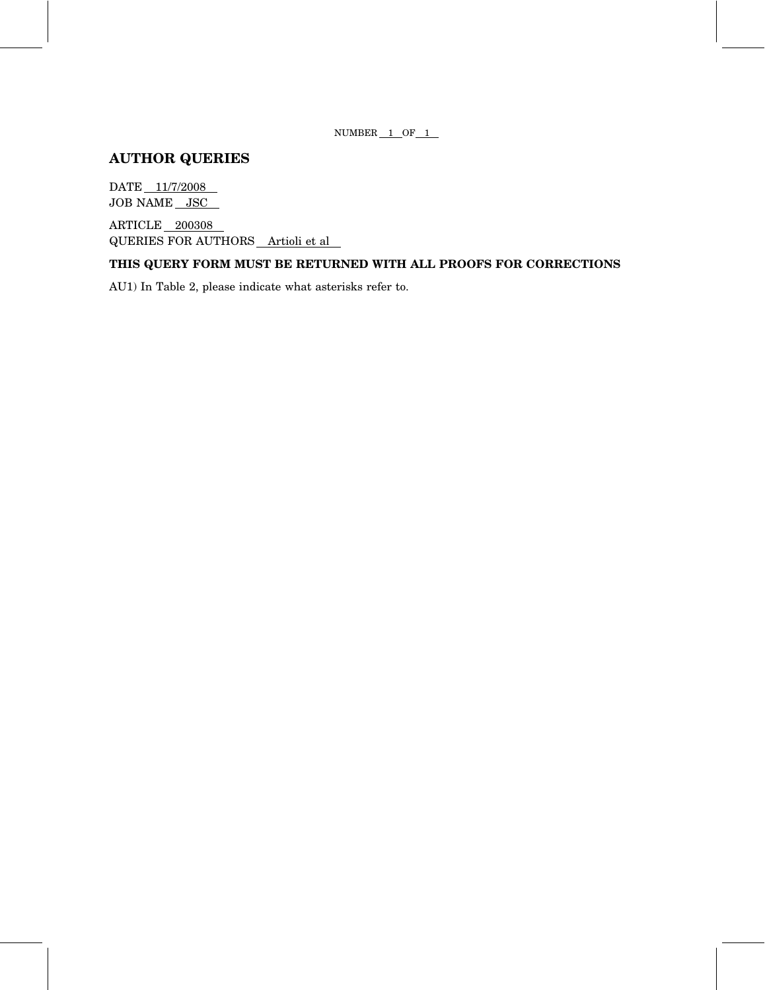NUMBER  $1$  OF  $1$ 

# AUTHOR QUERIES

DATE 11/7/2008 JOB NAME JSC

ARTICLE 200308 QUERIES FOR AUTHORS Artioli et al

# THIS QUERY FORM MUST BE RETURNED WITH ALL PROOFS FOR CORRECTIONS

AU1) In Table 2, please indicate what asterisks refer to.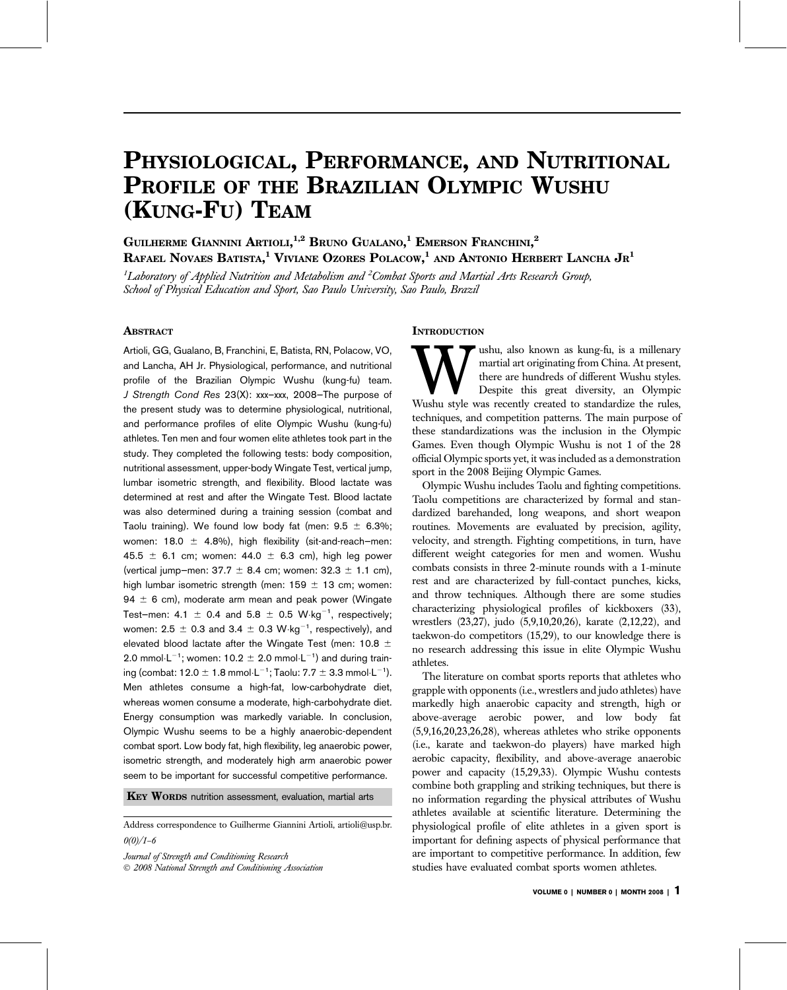# PHYSIOLOGICAL, PERFORMANCE, AND NUTRITIONAL PROFILE OF THE BRAZILIAN OLYMPIC WUSHU (KUNG-FU) TEAM

GUILHERME GIANNINI ARTIOLI,<sup>1,2</sup> Bruno Gualano,<sup>1</sup> Emerson Franchini,<sup>2</sup> Rafael Novaes Batista, $^1$  Viviane Ozores Polacow, $^1$  and Antonio Herbert Lancha Jr $^1$ 

 $^1$ Laboratory of Applied Nutrition and Metabolism and  $^2$ Combat Sports and Martial Arts Research Group, School of Physical Education and Sport, Sao Paulo University, Sao Paulo, Brazil

# **ABSTRACT**

Artioli, GG, Gualano, B, Franchini, E, Batista, RN, Polacow, VO, and Lancha, AH Jr. Physiological, performance, and nutritional profile of the Brazilian Olympic Wushu (kung-fu) team. J Strength Cond Res 23(X): xxx–xxx, 2008—The purpose of the present study was to determine physiological, nutritional, and performance profiles of elite Olympic Wushu (kung-fu) athletes. Ten men and four women elite athletes took part in the study. They completed the following tests: body composition, nutritional assessment, upper-body Wingate Test, vertical jump, lumbar isometric strength, and flexibility. Blood lactate was determined at rest and after the Wingate Test. Blood lactate was also determined during a training session (combat and Taolu training). We found low body fat (men:  $9.5 \pm 6.3\%$ ; women: 18.0  $\pm$  4.8%), high flexibility (sit-and-reach–men: 45.5  $\pm$  6.1 cm; women: 44.0  $\pm$  6.3 cm), high leg power (vertical jump–men:  $37.7 \pm 8.4$  cm; women:  $32.3 \pm 1.1$  cm), high lumbar isometric strength (men:  $159 \pm 13$  cm; women: 94  $\pm$  6 cm), moderate arm mean and peak power (Wingate Test-men: 4.1  $\pm$  0.4 and 5.8  $\pm$  0.5 W $\cdot$ kg $^{-1}$ , respectively; women: 2.5  $\pm$  0.3 and 3.4  $\pm$  0.3 W $\cdot$ kg $^{-1}$ , respectively), and elevated blood lactate after the Wingate Test (men: 10.8  $\pm$ 2.0 mmol $\cdot$ L<sup>-1</sup>; women: 10.2  $\pm$  2.0 mmol $\cdot$ L<sup>-1</sup>) and during training (combat: 12.0  $\pm$  1.8 mmol $\cdot$ L $^{-1}$ ; Taolu: 7.7  $\pm$  3.3 mmol $\cdot$ L $^{-1}$ ). Men athletes consume a high-fat, low-carbohydrate diet, whereas women consume a moderate, high-carbohydrate diet. Energy consumption was markedly variable. In conclusion, Olympic Wushu seems to be a highly anaerobic-dependent combat sport. Low body fat, high flexibility, leg anaerobic power, isometric strength, and moderately high arm anaerobic power seem to be important for successful competitive performance.

KEY WORDS nutrition assessment, evaluation, martial arts

Address correspondence to Guilherme Giannini Artioli, artioli@usp.br.  $0(0)/1 - 6$ 

Journal of Strength and Conditioning Research

2008 National Strength and Conditioning Association

#### **INTRODUCTION**

Wushu, also known as kung-fu, is a millenary martial art originating from China. At present, there are hundreds of different Wushu styles. Despite this great diversity, an Olympic Wushu style was recently created to standa martial art originating from China. At present, there are hundreds of different Wushu styles. Despite this great diversity, an Olympic techniques, and competition patterns. The main purpose of these standardizations was the inclusion in the Olympic Games. Even though Olympic Wushu is not 1 of the 28 official Olympic sports yet, it was included as a demonstration sport in the 2008 Beijing Olympic Games.

Olympic Wushu includes Taolu and fighting competitions. Taolu competitions are characterized by formal and standardized barehanded, long weapons, and short weapon routines. Movements are evaluated by precision, agility, velocity, and strength. Fighting competitions, in turn, have different weight categories for men and women. Wushu combats consists in three 2-minute rounds with a 1-minute rest and are characterized by full-contact punches, kicks, and throw techniques. Although there are some studies characterizing physiological profiles of kickboxers (33), wrestlers (23,27), judo (5,9,10,20,26), karate (2,12,22), and taekwon-do competitors (15,29), to our knowledge there is no research addressing this issue in elite Olympic Wushu athletes.

The literature on combat sports reports that athletes who grapple with opponents (i.e., wrestlers and judo athletes) have markedly high anaerobic capacity and strength, high or above-average aerobic power, and low body fat (5,9,16,20,23,26,28), whereas athletes who strike opponents (i.e., karate and taekwon-do players) have marked high aerobic capacity, flexibility, and above-average anaerobic power and capacity (15,29,33). Olympic Wushu contests combine both grappling and striking techniques, but there is no information regarding the physical attributes of Wushu athletes available at scientific literature. Determining the physiological profile of elite athletes in a given sport is important for defining aspects of physical performance that are important to competitive performance. In addition, few studies have evaluated combat sports women athletes.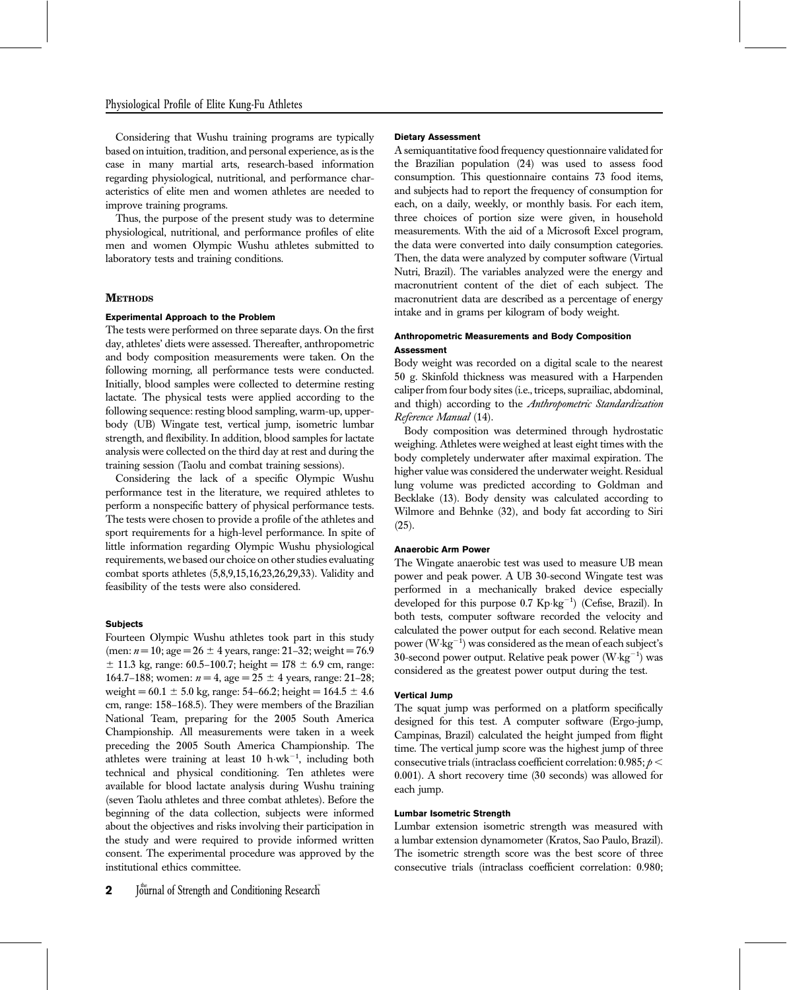Considering that Wushu training programs are typically based on intuition, tradition, and personal experience, as is the case in many martial arts, research-based information regarding physiological, nutritional, and performance characteristics of elite men and women athletes are needed to improve training programs.

Thus, the purpose of the present study was to determine physiological, nutritional, and performance profiles of elite men and women Olympic Wushu athletes submitted to laboratory tests and training conditions.

# **METHODS**

#### Experimental Approach to the Problem

The tests were performed on three separate days. On the first day, athletes' diets were assessed. Thereafter, anthropometric and body composition measurements were taken. On the following morning, all performance tests were conducted. Initially, blood samples were collected to determine resting lactate. The physical tests were applied according to the following sequence: resting blood sampling, warm-up, upperbody (UB) Wingate test, vertical jump, isometric lumbar strength, and flexibility. In addition, blood samples for lactate analysis were collected on the third day at rest and during the training session (Taolu and combat training sessions).

Considering the lack of a specific Olympic Wushu performance test in the literature, we required athletes to perform a nonspecific battery of physical performance tests. The tests were chosen to provide a profile of the athletes and sport requirements for a high-level performance. In spite of little information regarding Olympic Wushu physiological requirements, we based our choice on other studies evaluating combat sports athletes (5,8,9,15,16,23,26,29,33). Validity and feasibility of the tests were also considered.

# **Subjects**

Fourteen Olympic Wushu athletes took part in this study (men:  $n = 10$ ; age =  $26 \pm 4$  years, range: 21–32; weight = 76.9  $\pm$  11.3 kg, range: 60.5–100.7; height = 178  $\pm$  6.9 cm, range: 164.7–188; women:  $n = 4$ , age =  $25 \pm 4$  years, range: 21–28; weight =  $60.1 \pm 5.0$  kg, range:  $54-66.2$ ; height =  $164.5 \pm 4.6$ cm, range: 158–168.5). They were members of the Brazilian National Team, preparing for the 2005 South America Championship. All measurements were taken in a week preceding the 2005 South America Championship. The athletes were training at least  $10$  h $\cdot$ wk<sup>-1</sup>, including both technical and physical conditioning. Ten athletes were available for blood lactate analysis during Wushu training (seven Taolu athletes and three combat athletes). Before the beginning of the data collection, subjects were informed about the objectives and risks involving their participation in the study and were required to provide informed written consent. The experimental procedure was approved by the institutional ethics committee.

 $2$  Journal of Strength and Conditioning Research

#### Dietary Assessment

A semiquantitative food frequency questionnaire validated for the Brazilian population (24) was used to assess food consumption. This questionnaire contains 73 food items, and subjects had to report the frequency of consumption for each, on a daily, weekly, or monthly basis. For each item, three choices of portion size were given, in household measurements. With the aid of a Microsoft Excel program, the data were converted into daily consumption categories. Then, the data were analyzed by computer software (Virtual Nutri, Brazil). The variables analyzed were the energy and macronutrient content of the diet of each subject. The macronutrient data are described as a percentage of energy intake and in grams per kilogram of body weight.

# Anthropometric Measurements and Body Composition **Assessment**

Body weight was recorded on a digital scale to the nearest 50 g. Skinfold thickness was measured with a Harpenden caliper from four body sites (i.e., triceps, suprailiac, abdominal, and thigh) according to the Anthropometric Standardization Reference Manual (14).

Body composition was determined through hydrostatic weighing. Athletes were weighed at least eight times with the body completely underwater after maximal expiration. The higher value was considered the underwater weight. Residual lung volume was predicted according to Goldman and Becklake (13). Body density was calculated according to Wilmore and Behnke (32), and body fat according to Siri  $(25).$ 

#### Anaerobic Arm Power

The Wingate anaerobic test was used to measure UB mean power and peak power. A UB 30-second Wingate test was performed in a mechanically braked device especially developed for this purpose 0.7 Kp·kg<sup>-1</sup>) (Cefise, Brazil). In both tests, computer software recorded the velocity and calculated the power output for each second. Relative mean power ( $W \cdot kg^{-1}$ ) was considered as the mean of each subject's 30-second power output. Relative peak power  $(W \cdot kg^{-1})$  was considered as the greatest power output during the test.

# Vertical Jump

The squat jump was performed on a platform specifically designed for this test. A computer software (Ergo-jump, Campinas, Brazil) calculated the height jumped from flight time. The vertical jump score was the highest jump of three consecutive trials (intraclass coefficient correlation:  $0.985; p <$ 0.001). A short recovery time (30 seconds) was allowed for each jump.

## Lumbar Isometric Strength

Lumbar extension isometric strength was measured with a lumbar extension dynamometer (Kratos, Sao Paulo, Brazil). The isometric strength score was the best score of three consecutive trials (intraclass coefficient correlation: 0.980;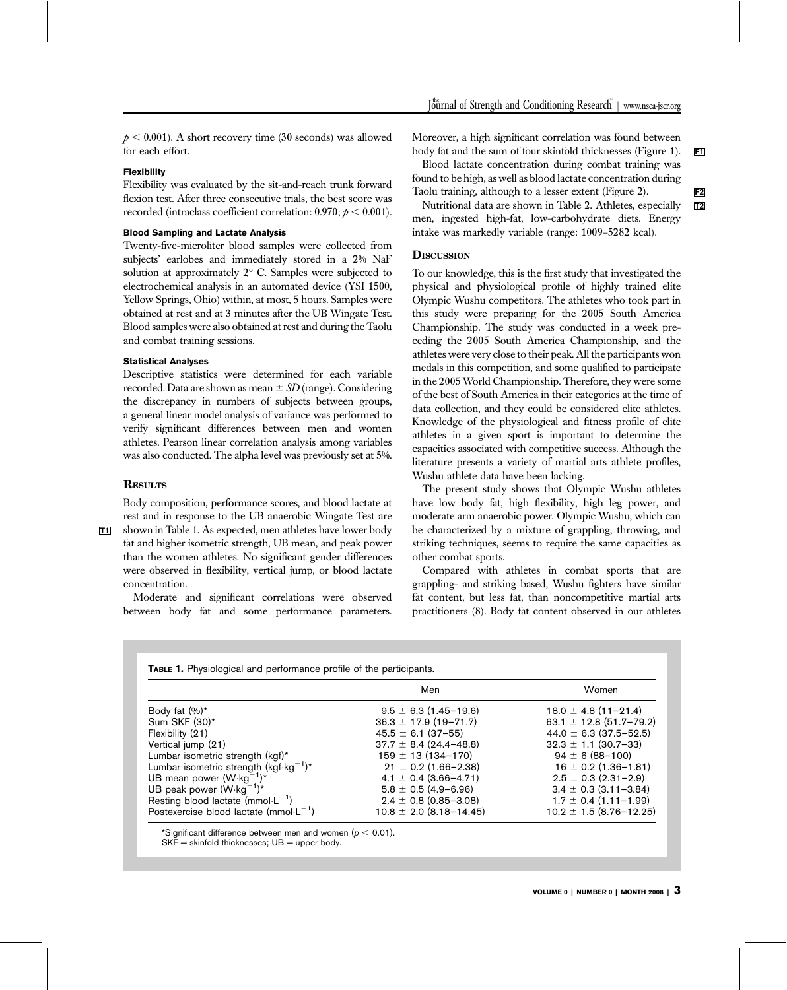$p < 0.001$ ). A short recovery time (30 seconds) was allowed for each effort.

# Flexibility

Flexibility was evaluated by the sit-and-reach trunk forward flexion test. After three consecutive trials, the best score was recorded (intraclass coefficient correlation:  $0.970$ ;  $p < 0.001$ ).

# Blood Sampling and Lactate Analysis

Twenty-five-microliter blood samples were collected from subjects' earlobes and immediately stored in a 2% NaF solution at approximately 2° C. Samples were subjected to electrochemical analysis in an automated device (YSI 1500, Yellow Springs, Ohio) within, at most, 5 hours. Samples were obtained at rest and at 3 minutes after the UB Wingate Test. Blood samples were also obtained at rest and during the Taolu and combat training sessions.

# Statistical Analyses

Descriptive statistics were determined for each variable recorded. Data are shown as mean  $\pm SD$  (range). Considering the discrepancy in numbers of subjects between groups, a general linear model analysis of variance was performed to verify significant differences between men and women athletes. Pearson linear correlation analysis among variables was also conducted. The alpha level was previously set at 5%.

### **RESULTS**

Body composition, performance scores, and blood lactate at rest and in response to the UB anaerobic Wingate Test are T1 shown in Table 1. As expected, men athletes have lower body

fat and higher isometric strength, UB mean, and peak power than the women athletes. No significant gender differences were observed in flexibility, vertical jump, or blood lactate concentration.

Moderate and significant correlations were observed between body fat and some performance parameters.

Moreover, a high significant correlation was found between body fat and the sum of four skinfold thicknesses (Figure 1). F1

Blood lactate concentration during combat training was found to be high, as well as blood lactate concentration during Taolu training, although to a lesser extent (Figure 2).

Nutritional data are shown in Table 2. Athletes, especially **T2** men, ingested high-fat, low-carbohydrate diets. Energy intake was markedly variable (range: 1009–5282 kcal).

# **DISCUSSION**

To our knowledge, this is the first study that investigated the physical and physiological profile of highly trained elite Olympic Wushu competitors. The athletes who took part in this study were preparing for the 2005 South America Championship. The study was conducted in a week preceding the 2005 South America Championship, and the athletes were very close to their peak. All the participants won medals in this competition, and some qualified to participate in the 2005 World Championship. Therefore, they were some of the best of South America in their categories at the time of data collection, and they could be considered elite athletes. Knowledge of the physiological and fitness profile of elite athletes in a given sport is important to determine the capacities associated with competitive success. Although the literature presents a variety of martial arts athlete profiles, Wushu athlete data have been lacking.

The present study shows that Olympic Wushu athletes have low body fat, high flexibility, high leg power, and moderate arm anaerobic power. Olympic Wushu, which can be characterized by a mixture of grappling, throwing, and striking techniques, seems to require the same capacities as other combat sports.

Compared with athletes in combat sports that are grappling- and striking based, Wushu fighters have similar fat content, but less fat, than noncompetitive martial arts practitioners (8). Body fat content observed in our athletes

|                                                    | Men                          | Women                         |  |
|----------------------------------------------------|------------------------------|-------------------------------|--|
| Body fat $(\%)^*$                                  | $9.5 \pm 6.3$ (1.45-19.6)    | $18.0 \pm 4.8$ (11-21.4)      |  |
| Sum SKF (30)*                                      | $36.3 \pm 17.9$ (19-71.7)    | 63.1 $\pm$ 12.8 (51.7-79.2)   |  |
| Flexibility (21)                                   | $45.5 \pm 6.1$ (37-55)       | 44.0 $\pm$ 6.3 (37.5–52.5)    |  |
| Vertical jump (21)                                 | $37.7 \pm 8.4 (24.4 - 48.8)$ | $32.3 \pm 1.1$ (30.7-33)      |  |
| Lumbar isometric strength (kgf)*                   | $159 \pm 13(134 - 170)$      | $94 \pm 6 (88 - 100)$         |  |
| Lumbar isometric strength (kgf·kg <sup>-1</sup> )* | $21 \pm 0.2$ (1.66-2.38)     | $16 \pm 0.2$ (1.36-1.81)      |  |
| UB mean power $(W \cdot kg^{-1})^*$                | $4.1 \pm 0.4$ (3.66-4.71)    | $2.5 \pm 0.3$ (2.31-2.9)      |  |
| UB peak power $(W \cdot kg^{-1})^*$                | $5.8 \pm 0.5(4.9 - 6.96)$    | $3.4 \pm 0.3$ (3.11-3.84)     |  |
| Resting blood lactate ( $mmol·L^{-1}$ )            | $2.4 \pm 0.8$ (0.85-3.08)    | $1.7 \pm 0.4$ (1.11-1.99)     |  |
| Postexercise blood lactate ( $mmol·L^{-1}$ )       | $10.8 \pm 2.0$ (8.18-14.45)  | $10.2 \pm 1.5 (8.76 - 12.25)$ |  |

\*Significant difference between men and women ( $p < 0.01$ ).  $SKF =$  skinfold thicknesses;  $UB =$  upper body.

VOLUME 0 | NUMBER 0 | MONTH 2008 |  $3$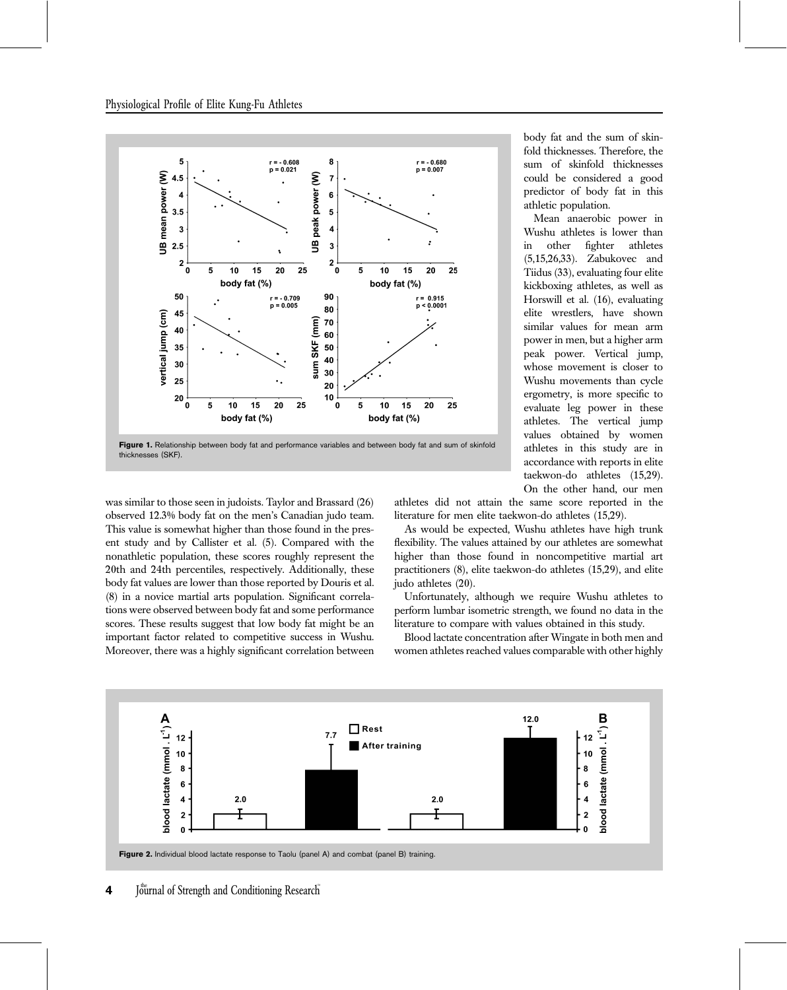

Figure 1. Relationship between body fat and performance variables and between body fat and sum of skinfold thicknesses (SKF).

was similar to those seen in judoists. Taylor and Brassard (26) observed 12.3% body fat on the men's Canadian judo team. This value is somewhat higher than those found in the present study and by Callister et al. (5). Compared with the nonathletic population, these scores roughly represent the 20th and 24th percentiles, respectively. Additionally, these body fat values are lower than those reported by Douris et al. (8) in a novice martial arts population. Significant correlations were observed between body fat and some performance scores. These results suggest that low body fat might be an important factor related to competitive success in Wushu. Moreover, there was a highly significant correlation between body fat and the sum of skinfold thicknesses. Therefore, the sum of skinfold thicknesses could be considered a good predictor of body fat in this athletic population.

Mean anaerobic power in Wushu athletes is lower than in other fighter athletes (5,15,26,33). Zabukovec and Tiidus (33), evaluating four elite kickboxing athletes, as well as Horswill et al. (16), evaluating elite wrestlers, have shown similar values for mean arm power in men, but a higher arm peak power. Vertical jump, whose movement is closer to Wushu movements than cycle ergometry, is more specific to evaluate leg power in these athletes. The vertical jump values obtained by women athletes in this study are in accordance with reports in elite taekwon-do athletes (15,29). On the other hand, our men

athletes did not attain the same score reported in the literature for men elite taekwon-do athletes (15,29).

As would be expected, Wushu athletes have high trunk flexibility. The values attained by our athletes are somewhat higher than those found in noncompetitive martial art practitioners (8), elite taekwon-do athletes (15,29), and elite judo athletes (20).

Unfortunately, although we require Wushu athletes to perform lumbar isometric strength, we found no data in the literature to compare with values obtained in this study.

Blood lactate concentration after Wingate in both men and women athletes reached values comparable with other highly



<sup>4</sup> Journal of Strength and Conditioning Research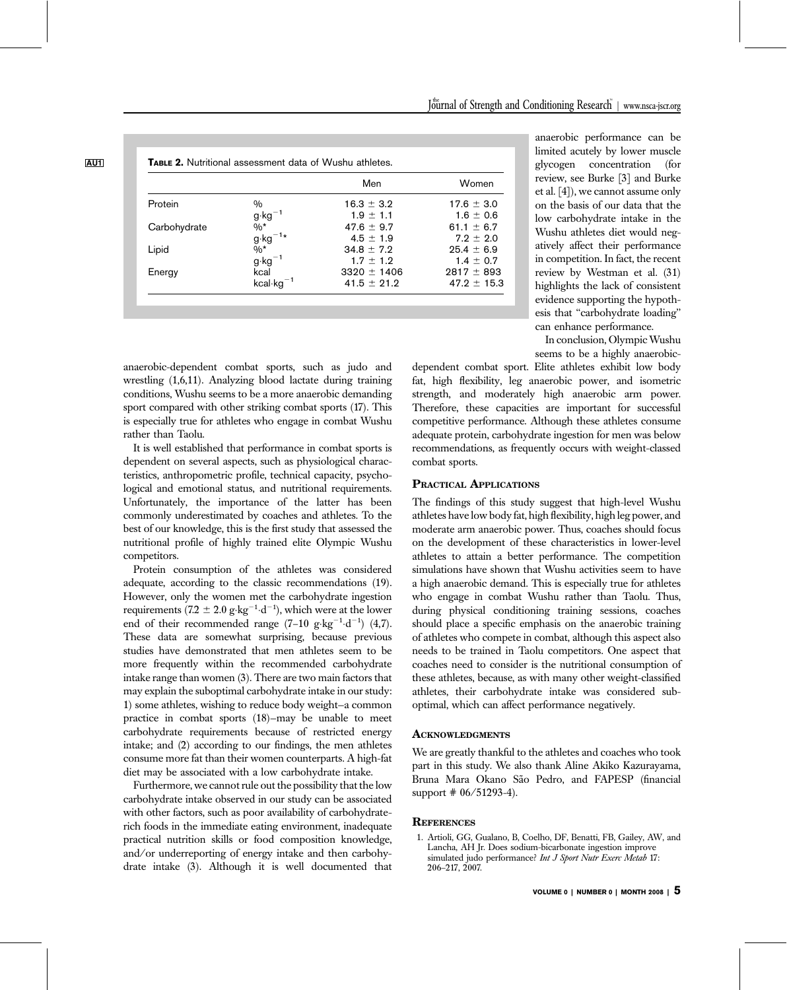|              |                                                        | Men             | Women           |
|--------------|--------------------------------------------------------|-----------------|-----------------|
| Protein      | %                                                      | $16.3 + 3.2$    | $17.6 \pm 3.0$  |
|              | g kg <sup>-1</sup><br>%*<br>g kg <sup>-1</sup> *<br>%* | $1.9 \pm 1.1$   | $1.6 \pm 0.6$   |
| Carbohydrate |                                                        | 47.6 $\pm$ 9.7  | 61.1 $\pm$ 6.7  |
|              |                                                        | $4.5 + 1.9$     | $7.9 + 2.0$     |
| Lipid        |                                                        | $34.8 + 7.2$    | $25.4 \pm 6.9$  |
|              | $g \cdot kg^{-1}$                                      | $1.7 \pm 1.2$   | $1.4 \pm 0.7$   |
| Energy       | kcal                                                   | $3320 \pm 1406$ | $2817 \pm 893$  |
|              | $kcal \cdot kg^{-1}$                                   | $41.5 \pm 21.2$ | $47.2 \pm 15.3$ |

anaerobic-dependent combat sports, such as judo and wrestling (1,6,11). Analyzing blood lactate during training conditions, Wushu seems to be a more anaerobic demanding sport compared with other striking combat sports (17). This is especially true for athletes who engage in combat Wushu rather than Taolu.

It is well established that performance in combat sports is dependent on several aspects, such as physiological characteristics, anthropometric profile, technical capacity, psychological and emotional status, and nutritional requirements. Unfortunately, the importance of the latter has been commonly underestimated by coaches and athletes. To the best of our knowledge, this is the first study that assessed the nutritional profile of highly trained elite Olympic Wushu competitors.

Protein consumption of the athletes was considered adequate, according to the classic recommendations (19). However, only the women met the carbohydrate ingestion requirements (7.2  $\pm$  2.0 g·kg<sup>-1</sup>·d<sup>-1</sup>), which were at the lower end of their recommended range  $(7-10 \text{ g} \cdot \text{kg}^{-1} \cdot \text{d}^{-1})$   $(4,7)$ . These data are somewhat surprising, because previous studies have demonstrated that men athletes seem to be more frequently within the recommended carbohydrate intake range than women (3). There are two main factors that may explain the suboptimal carbohydrate intake in our study: 1) some athletes, wishing to reduce body weight—a common practice in combat sports (18)—may be unable to meet carbohydrate requirements because of restricted energy intake; and (2) according to our findings, the men athletes consume more fat than their women counterparts. A high-fat diet may be associated with a low carbohydrate intake.

Furthermore, we cannot rule out the possibility that the low carbohydrate intake observed in our study can be associated with other factors, such as poor availability of carbohydraterich foods in the immediate eating environment, inadequate practical nutrition skills or food composition knowledge, and/or underreporting of energy intake and then carbohydrate intake (3). Although it is well documented that

anaerobic performance can be limited acutely by lower muscle glycogen concentration (for review, see Burke [3] and Burke et al. [4]), we cannot assume only on the basis of our data that the low carbohydrate intake in the Wushu athletes diet would negatively affect their performance in competition. In fact, the recent review by Westman et al. (31) highlights the lack of consistent evidence supporting the hypothesis that ''carbohydrate loading'' can enhance performance.

In conclusion, Olympic Wushu seems to be a highly anaerobic-

dependent combat sport. Elite athletes exhibit low body fat, high flexibility, leg anaerobic power, and isometric strength, and moderately high anaerobic arm power. Therefore, these capacities are important for successful competitive performance. Although these athletes consume adequate protein, carbohydrate ingestion for men was below recommendations, as frequently occurs with weight-classed combat sports.

### PRACTICAL APPLICATIONS

The findings of this study suggest that high-level Wushu athletes have low body fat, high flexibility, high leg power, and moderate arm anaerobic power. Thus, coaches should focus on the development of these characteristics in lower-level athletes to attain a better performance. The competition simulations have shown that Wushu activities seem to have a high anaerobic demand. This is especially true for athletes who engage in combat Wushu rather than Taolu. Thus, during physical conditioning training sessions, coaches should place a specific emphasis on the anaerobic training of athletes who compete in combat, although this aspect also needs to be trained in Taolu competitors. One aspect that coaches need to consider is the nutritional consumption of these athletes, because, as with many other weight-classified athletes, their carbohydrate intake was considered suboptimal, which can affect performance negatively.

## ACKNOWLEDGMENTS

We are greatly thankful to the athletes and coaches who took part in this study. We also thank Aline Akiko Kazurayama, Bruna Mara Okano São Pedro, and FAPESP (financial support # 06/51293-4).

# **REFERENCES**

1. Artioli, GG, Gualano, B, Coelho, DF, Benatti, FB, Gailey, AW, and Lancha, AH Jr. Does sodium-bicarbonate ingestion improve simulated judo performance? Int J Sport Nutr Exerc Metab 17: 206–217, 2007.